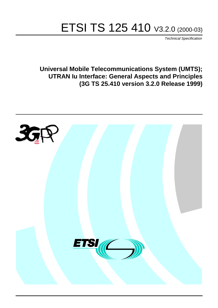# ETSI TS 125 410 V3.2.0 (2000-03)

Technical Specification

**Universal Mobile Telecommunications System (UMTS); UTRAN Iu Interface: General Aspects and Principles (3G TS 25.410 version 3.2.0 Release 1999)**

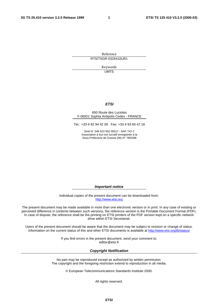**1**

Reference RTS/TSGR-0325410UR1

> Keywords UMTS

#### **ETSI**

#### 650 Route des Lucioles F-06921 Sophia Antipolis Cedex - FRANCE

Tel.: +33 4 92 94 42 00 Fax: +33 4 93 65 47 16

Siret N° 348 623 562 00017 - NAF 742 C Association à but non lucratif enregistrée à la Sous-Préfecture de Grasse (06) N° 7803/88

**Important notice**

Individual copies of the present document can be downloaded from: [http://www.etsi.org](http://www.etsi.org/)

The present document may be made available in more than one electronic version or in print. In any case of existing or perceived difference in contents between such versions, the reference version is the Portable Document Format (PDF). In case of dispute, the reference shall be the printing on ETSI printers of the PDF version kept on a specific network drive within ETSI Secretariat.

Users of the present document should be aware that the document may be subject to revision or change of status. Information on the current status of this and other ETSI documents is available at <http://www.etsi.org/tb/status>/

> If you find errors in the present document, send your comment to: <editor@etsi.fr>

#### **Copyright Notification**

No part may be reproduced except as authorized by written permission. The copyright and the foregoing restriction extend to reproduction in all media.

© European Telecommunications Standards Institute 2000.

All rights reserved.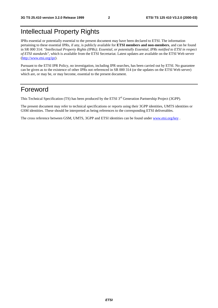## Intellectual Property Rights

IPRs essential or potentially essential to the present document may have been declared to ETSI. The information pertaining to these essential IPRs, if any, is publicly available for **ETSI members and non-members**, and can be found in SR 000 314: *"Intellectual Property Rights (IPRs); Essential, or potentially Essential, IPRs notified to ETSI in respect of ETSI standards"*, which is available from the ETSI Secretariat. Latest updates are available on the ETSI Web server [\(http://www.etsi.org/ipr](http://www.etsi.org/ipr)).

Pursuant to the ETSI IPR Policy, no investigation, including IPR searches, has been carried out by ETSI. No guarantee can be given as to the existence of other IPRs not referenced in SR 000 314 (or the updates on the ETSI Web server) which are, or may be, or may become, essential to the present document.

## Foreword

This Technical Specification (TS) has been produced by the ETSI 3<sup>rd</sup> Generation Partnership Project (3GPP).

The present document may refer to technical specifications or reports using their 3GPP identities, UMTS identities or GSM identities. These should be interpreted as being references to the corresponding ETSI deliverables.

The cross reference between GSM, UMTS, 3GPP and ETSI identities can be found under [www.etsi.org/key](http://www.etsi.org/key) .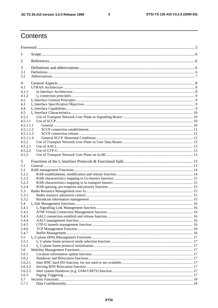$\overline{3}$ 

## Contents

| 1                      |  |  |  |
|------------------------|--|--|--|
| 2                      |  |  |  |
| 3                      |  |  |  |
| 3.1                    |  |  |  |
| 3.2                    |  |  |  |
| 4                      |  |  |  |
| 4.1                    |  |  |  |
| 4.1.1                  |  |  |  |
| 4.1.2                  |  |  |  |
| 4.2<br>4.3             |  |  |  |
| 4.4                    |  |  |  |
| 4.5                    |  |  |  |
| 4.5.1                  |  |  |  |
| 4.5.1.1                |  |  |  |
| 4.5.1.1.1              |  |  |  |
| 4.5.1.1.2              |  |  |  |
| 4.5.1.1.3<br>4.5.1.1.4 |  |  |  |
| 4.5.2                  |  |  |  |
| 4.5.2.1                |  |  |  |
| 4.5.2.2                |  |  |  |
| 4.5.3                  |  |  |  |
| 5                      |  |  |  |
| 5.1                    |  |  |  |
| 5.2                    |  |  |  |
| 5.2.1                  |  |  |  |
| 5.2.2                  |  |  |  |
| 5.2.3                  |  |  |  |
| 5.2.4<br>5.3           |  |  |  |
| 5.3.1                  |  |  |  |
| 5.3.2                  |  |  |  |
| 5.4                    |  |  |  |
| 5.4.1                  |  |  |  |
| 5.4.2                  |  |  |  |
| 5.4.3                  |  |  |  |
| 5.4.4<br>5.4.5         |  |  |  |
| 5.4.6                  |  |  |  |
| 5.4.7                  |  |  |  |
| 5.5                    |  |  |  |
| 5.5.1                  |  |  |  |
| 5.5.2                  |  |  |  |
| 5.6                    |  |  |  |
| 5.6.1<br>5.6.2         |  |  |  |
| 5.6.2.1                |  |  |  |
| 5.6.2.2                |  |  |  |
| 5.6.2.3                |  |  |  |
| 5.6.3                  |  |  |  |
| 5.7                    |  |  |  |
| 5.7.1                  |  |  |  |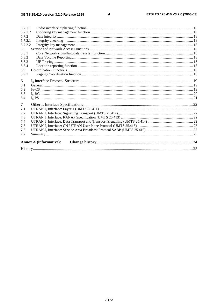$\overline{\mathbf{4}}$ 

| 5.7.1.1 |                               |  |
|---------|-------------------------------|--|
| 5.7.1.2 |                               |  |
| 5.7.2   |                               |  |
| 5.7.2.1 |                               |  |
| 5.7.2.2 |                               |  |
| 5.8     |                               |  |
| 5.8.1   |                               |  |
| 5.8.2   |                               |  |
| 5.8.3   |                               |  |
| 5.8.4   |                               |  |
| 5.9     |                               |  |
| 5.9.1   |                               |  |
| 6       |                               |  |
| 6.1     |                               |  |
| 6.2     |                               |  |
| 6.3     |                               |  |
| 6.4     |                               |  |
| $\tau$  |                               |  |
| 7.1     |                               |  |
| 7.2     |                               |  |
| 7.3     |                               |  |
| 7.4     |                               |  |
| 7.5     |                               |  |
| 7.6     |                               |  |
| 7.7     |                               |  |
|         | <b>Annex A (informative):</b> |  |
|         |                               |  |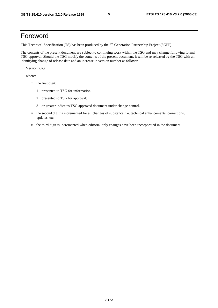## Foreword

This Technical Specification (TS) has been produced by the 3<sup>rd</sup> Generation Partnership Project (3GPP).

The contents of the present document are subject to continuing work within the TSG and may change following formal TSG approval. Should the TSG modify the contents of the present document, it will be re-released by the TSG with an identifying change of release date and an increase in version number as follows:

Version x.y.z

where:

- x the first digit:
	- 1 presented to TSG for information;
	- 2 presented to TSG for approval;
	- 3 or greater indicates TSG approved document under change control.
- y the second digit is incremented for all changes of substance, i.e. technical enhancements, corrections, updates, etc.
- z the third digit is incremented when editorial only changes have been incorporated in the document.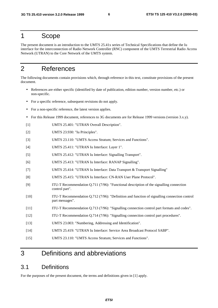## 1 Scope

The present document is an introduction to the UMTS 25.41x series of Technical Specifications that define the Iu interface for the interconnection of Radio Network Controller (RNC) component of the UMTS Terrestrial Radio Access Network (UTRAN) to the Core Network of the UMTS system.

## 2 References

The following documents contain provisions which, through reference in this text, constitute provisions of the present document.

- References are either specific (identified by date of publication, edition number, version number, etc.) or non-specific.
- For a specific reference, subsequent revisions do not apply.
- For a non-specific reference, the latest version applies.
- For this Release 1999 document, references to 3G documents are for Release 1999 versions (version 3.x.y).
- [1] UMTS 25.401: "UTRAN Overall Description".
- [2] UMTS 23.930: "Iu Principles".
- [3] UMTS 23.110: "UMTS Access Stratum; Services and Functions".
- [4] UMTS 25.411: "UTRAN Iu Interface: Layer 1".
- [5] UMTS 25.412: "UTRAN Iu Interface: Signalling Transport".
- [6] UMTS 25.413: "UTRAN Iu Interface: RANAP Signalling".
- [7] UMTS 25.414: "UTRAN Iu Interface: Data Transport & Transport Signalling"
- [8] UMTS 25.415: "UTRAN Iu Interface: CN-RAN User Plane Protocol".
- [9] ITU-T Recommendation Q.711 (7/96): "Functional description of the signalling connection control part".
- [10] ITU-T Recommendation Q.712 (7/96): "Definition and function of signalling connection control part messages".
- [11] ITU-T Recommendation Q.713 (7/96): "Signalling connection control part formats and codes".
- [12] ITU-T Recommendation Q.714 (7/96): "Signalling connection control part procedures".
- [13] UMTS 23.003: "Numbering, Addressing and Identification".
- [14] UMTS 25.419: "UTRAN Iu Interface: Service Area Broadcast Protocol SABP".
- [15] UMTS 23.110: "UMTS Access Stratum; Services and Functions".

## 3 Definitions and abbreviations

### 3.1 Definitions

For the purposes of the present document, the terms and definitions given in [1] apply.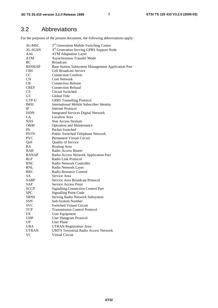## 3.2 Abbreviations

For the purposes of the present document, the following abbreviations apply:

| 3G-MSC        | 3 <sup>rd</sup> Generation Mobile Switching Centre   |
|---------------|------------------------------------------------------|
| 3G-SGSN       | 3 <sup>rd</sup> Generation Serving GPRS Support Node |
| AAL           | <b>ATM Adaptation Layer</b>                          |
| <b>ATM</b>    | Asynchronous Transfer Mode                           |
| BC            | <b>Broadcast</b>                                     |
| <b>BSSMAP</b> | Base Station Subsystem Management Application Part   |
| <b>CBS</b>    | <b>Cell Broadcast Service</b>                        |
| CC            | <b>Connection Confirm</b>                            |
| <b>CN</b>     | <b>Core Network</b>                                  |
| CR            | <b>Connection Release</b>                            |
| <b>CREF</b>   | <b>Connection Refusal</b>                            |
| CS            | Circuit Switched                                     |
| GТ            | Global Title                                         |
| GTP-U         | <b>GPRS Tunnelling Protocol</b>                      |
| <b>IMSI</b>   | International Mobile Subscriber Identity             |
| IP            | <b>Internet Protocol</b>                             |
| <b>ISDN</b>   | <b>Integrated Services Digital Network</b>           |
| LA            | <b>Location Area</b>                                 |
| <b>NAS</b>    | Non Access Stratum                                   |
| O&M           | <b>Operation and Maintenance</b>                     |
| <b>PS</b>     | Packet Switched                                      |
| <b>PSTN</b>   | Public Switched Telephone Network                    |
| <b>PVC</b>    | Permanent Virtual Circuit                            |
| QoS           | Quality of Service                                   |
| RA            | Routing Area                                         |
| <b>RAB</b>    | Radio Access Bearer                                  |
| <b>RANAP</b>  | Radio Access Network Application Part                |
| <b>RLP</b>    | Radio Link Protocol                                  |
| <b>RNC</b>    | Radio Network Controller                             |
| <b>RNL</b>    | Radio Network Layer                                  |
| <b>RRC</b>    | Radio Resource Control                               |
| <b>SA</b>     | Service Area                                         |
| SABP          | Service Area Broadcast Protocol                      |
| SAP           | Service Access Point                                 |
| <b>SCCP</b>   | <b>Signalling Connection Control Part</b>            |
| <b>SPC</b>    | <b>Signalling Point Code</b>                         |
| <b>SRNS</b>   | Serving Radio Network Subsystem                      |
| SSN           | Sub-System Number                                    |
| <b>SVC</b>    | <b>Switched Virtual Circuit</b>                      |
| TCP           | <b>Transmission Control Protocol</b>                 |
| UE            | User Equipment                                       |
| <b>UDP</b>    | <b>User Datagram Protocol</b>                        |
| UP            | <b>User Plane</b>                                    |
| <b>URA</b>    | <b>UTRAN Registration Area</b>                       |
| <b>UTRAN</b>  | <b>UMTS Terrestrial Radio Access Network</b>         |
| <b>VC</b>     | Virtual Circuit                                      |
|               |                                                      |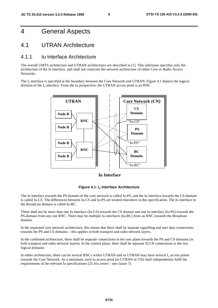## 4 General Aspects

### 4.1 UTRAN Architecture

#### 4.1.1 Iu Interface Architecture

The overall UMTS architecture and UTRAN architectures are described in [1]. This subclause specifies only the architecture of the Iu interface, and shall not constrain the network architecture of either Core or Radio Access Networks.

The I<sub>u</sub> interface is specified at the boundary between the Core Network and UTRAN. Figure 4.1 depicts the logical division of the  $I_{\mu}$  interface. From the Iu perspective, the UTRAN access point is an RNC.



**Iu Interface**



The Iu interface towards the PS-domain of the core network is called Iu-PS, and the Iu interface towards the CS-domain is called Iu-CS. The differences between Iu-CS and Iu-PS are treated elsewhere in this specification. The Iu interface to the Broadcast domain is called Iu-BC.

There shall not be more than one Iu interface (Iu-CS) towards the CS domain and one Iu interface (Iu-PS) towards the PS-domain from any one RNC. There may be multiple Iu interfaces (Iu-BC) from an RNC towards the Broadcast domain.

In the separated core network architecture, this means that there shall be separate signalling and user data connections towards the PS and CS domains – this applies in both transport and radio network layers.

In the combined architecture, there shall be separate connections in the user plane towards the PS and CS domains (in both transport and radio network layers). In the control plane, there shall be separate SCCP connections to the two logical domains.

In either architecture, there can be several RNCs within UTRAN and so UTRAN may have several I<sub>n</sub> access points towards the Core Network. As a minimum, each Iu access point (in UTRAN or CN) shall independently fulfil the requirements of the relevant Iu specifications (25.41x series – see clause 7).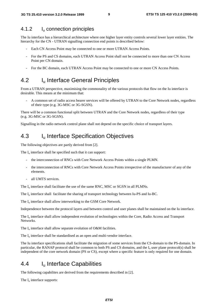#### 4.1.2 Iu connection principles

The Iu interface has a hierarchical architecture where one higher layer entity controls several lower layer entities. The hierarchy for the CN - UTRAN signalling connection end points is described below:

- Each CN Access Point may be connected to one or more UTRAN Access Points.
- For the PS and CS domains, each UTRAN Access Point shall not be connected to more than one CN Access Point per CN domain.
- For the BC domain, each UTRAN Access Point may be connected to one or more CN Access Points.

### 4.2 I<sub>u</sub> Interface General Principles

From a UTRAN perspective, maximising the commonality of the various protocols that flow on the Iu interface is desirable. This means at the minimum that:

- A common set of radio access bearer services will be offered by UTRAN to the Core Network nodes, regardless of their type (e.g. 3G-MSC or 3G-SGSN).

There will be a common functional split between UTRAN and the Core Network nodes, regardless of their type (e.g. 3G-MSC or 3G-SGSN).

Signalling in the radio network control plane shall not depend on the specific choice of transport layers.

## 4.3 I<sub>u</sub> Interface Specification Objectives

The following objectives are partly derived from [2].

The  $I_{\text{u}}$  interface shall be specified such that it can support:

- the interconnection of RNCs with Core Network Access Points within a single PLMN.
- the interconnection of RNCs with Core Network Access Points irrespective of the manufacturer of any of the elements.
- all UMTS services.

The  $I_{\rm u}$  interface shall facilitate the use of the same RNC, MSC or SGSN in all PLMNs.

The  $I_{\rm u}$  interface shall facilitate the sharing of transport technology between Iu-PS and Iu-BC.

The  $I_{\text{u}}$  interface shall allow interworking to the GSM Core Network.

Independence between the protocol layers and between control and user planes shall be maintained on the Iu interface.

The  $I<sub>u</sub>$  interface shall allow independent evolution of technologies within the Core, Radio Access and Transport **Networks**.

The  $I_u$  interface shall allow separate evolution of O&M facilities.

The  $I_{\rm u}$  interface shall be standardised as an open and multi-vendor interface.

The Iu interface specifications shall facilitate the migration of some services from the CS-domain to the PS-domain. In particular, the RANAP protocol shall be common to both PS and CS domains, and the  $I<sub>u</sub>$  user plane protocol(s) shall be independent of the core network domain (PS or CS), except where a specific feature is only required for one domain.

### 4.4 Iu Interface Capabilities

The following capabilites are derived from the requirements described in [2].

The  $I_u$  interface supports: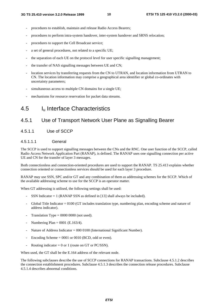- procedures to establish, maintain and release Radio Access Bearers;
- procedures to perform intra-system handover, inter-system handover and SRNS relocation;
- procedures to support the Cell Broadcast service;
- a set of general procedures, not related to a specific UE;
- the separation of each UE on the protocol level for user specific signalling management;
- the transfer of NAS signalling messages between UE and CN;
- location services by transferring requests from the CN to UTRAN, and location information from UTRAN to CN. The location information may comprise a geographical area identifier or global co-ordinates with uncertainty parameters;
- simultaneous access to multiple CN domains for a single UE;
- mechanisms for resource reservation for packet data streams.

## 4.5 Iu Interface Characteristics

### 4.5.1 Use of Transport Network User Plane as Signalling Bearer

#### 4.5.1.1 Use of SCCP

#### 4.5.1.1.1 General

The SCCP is used to support signalling messages between the CNs and the RNC. One user function of the SCCP, called Radio Access Network Application Part (RANAP), is defined. The RANAP uses one signalling connection per active UE and CN for the transfer of layer 3 messages.

Both connectionless and connection-oriented procedures are used to support the RANAP. TS 25.413 explains whether connection oriented or connectionless services should be used for each layer 3 procedure.

RANAP may use SSN, SPC and/or GT and any combination of them as addressing schemes for the SCCP. Which of the available addressing scheme to use for the SCCP is an operator matter.

When GT addressing is utilised, the following settings shall be used:

- SSN Indicator  $= 1$  (RANAP SSN as defined in [13] shall always be included).
- Global Title Indicator = 0100 (GT includes translation type, numbering plan, encoding scheme and nature of address indicator).
- Translation Type  $= 0000 0000$  (not used).
- Numbering Plan =  $0001$  (E.163/4).
- Nature of Address Indicator =  $000\,0100$  (International Significant Number).
- Encoding Scheme  $= 0001$  or 0010 (BCD, odd or even).
- Routing indicator = 0 or 1 (route on GT or PC/SSN).

When used, the GT shall be the E.164 address of the relevant node.

The following subclauses describe the use of SCCP connections for RANAP transactions. Subclause 4.5.1.2 describes the connection establishment procedures. Subclause 4.5.1.3 describes the connection release procedures. Subclause 4.5.1.4 describes abnormal conditions.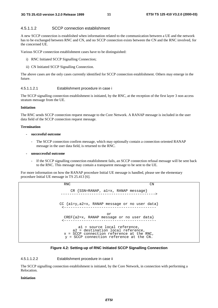#### 4.5.1.1.2 SCCP connection establishment

A new SCCP connection is established when information related to the communication between a UE and the network has to be exchanged between RNC and CN, and no SCCP connection exists between the CN and the RNC involved, for the concerned UE.

Various SCCP connection establishment cases have to be distinguished:

- i) RNC Initiated SCCP Signalling Connection;
- ii) CN Initiated SCCP Signalling Connection.

The above cases are the only cases currently identified for SCCP connection establishment. Others may emerge in the future.

#### 4.5.1.1.2.1 Establishment procedure in case i

The SCCP signalling connection establishment is initiated, by the RNC, at the reception of the first layer 3 non access stratum message from the UE.

#### **Initiation**

The RNC sends SCCP connection request message to the Core Network. A RANAP message is included in the user data field of the SCCP connection request message.

#### **Termination**

#### **- successful outcome**

The SCCP connection confirm message, which may optionally contain a connection oriented RANAP message in the user data field, is returned to the RNC.

#### **- unsuccessful outcome**

If the SCCP signalling connection establishment fails, an SCCP connection refusal message will be sent back to the RNC. This message may contain a transparent message to be sent to the UE.

For more information on how the RANAP procedure Initial UE message is handled, please see the elementary procedure Initial UE message in TS 25.413 [6].

> RNC CN  $CR$   $SSN=RANAP$ ,  $al=x$ ,  $RANAP$  message} CC {a1=y,a2=x, RANAP message or no user data} <----------------------------------------- or CREF{a2=x, RANAP message or no user data} <----------------------------------------- a1 = source local reference, a2 = destination local reference, x = SCCP connection reference at the RNC, y = SCCP connection reference at the CN.

#### **Figure 4.2: Setting-up of RNC Initiated SCCP Signalling Connection**

#### 4.5.1.1.2.2 Establishment procedure in case ii

The SCCP signalling connection establishment is initiated, by the Core Network, in connection with performing a Relocation.

#### **Initiation**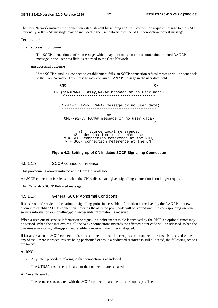The Core Network initiates the connection establishment by sending an SCCP connection request message to the RNC. Optionally, a RANAP message may be included in the user data field of the SCCP connection request message.

#### **Termination**

- **successful outcome**
	- The SCCP connection confirm message, which may optionally contain a connection oriented RANAP message in the user data field, is returned to the Core Network.
- **unsuccessful outcome**
	- If the SCCP signalling connection establishment fails, an SCCP connection refusal message will be sent back to the Core Network. This message may contain a RANAP message in the user data field.

RNC CN  $CR$   $\{SSN=RANAP, al=y, RANAP$  message or no user data} CC  $\{a1=x, a2=y, RANAP message or no user data\}$ or CREF{a2=y, RANAP message or no user data} ------------------------------------------> a1 = source local reference, a2 = destination local reference, x = SCCP connection reference at the RNC, y = SCCP connection reference at the CN.

#### **Figure 4.3: Setting-up of CN Initiated SCCP Signalling Connection**

#### 4.5.1.1.3 SCCP connection release

This procedure is always initiated at the Core Network side.

An SCCP connection is released when the CN realises that a given signalling connection is no longer required.

The CN sends a SCCP Released message.

#### 4.5.1.1.4 General SCCP Abnormal Conditions

If a user-out-of-service information or signalling-point-inaccessible information is received by the RANAP, no new attempt to establish SCCP connections towards the affected point code will be started until the corresponding user-inservice information or signalling-point-accessible information is received.

When a user-out-of-service information or signalling-point-inaccessible is received by the RNC, an optional timer may be started. When the timer expires, all the SCCP connections towards the affected point code will be released. When the user-in-service or signalling-point-accessible is received, the timer is stopped.

If for any reason an SCCP connection is released, the optional timer expires or a connection refusal is received while any of the RANAP procedures are being performed or while a dedicated resource is still allocated, the following actions are taken:

#### **At RNC:**

- Any RNC procedure relating to that connection is abandoned.
- The UTRAN resources allocated to the connection are released.

#### **At Core Network:**

The resources associated with the SCCP connection are cleared as soon as possible.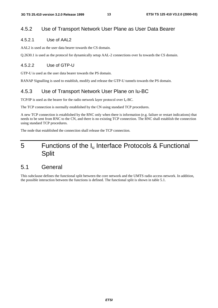#### 4.5.2 Use of Transport Network User Plane as User Data Bearer

#### 4.5.2.1 Use of AAL2

AAL2 is used as the user data bearer towards the CS domain.

Q.2630.1 is used as the protocol for dynamically setup AAL-2 connections over Iu towards the CS domain.

#### 4.5.2.2 Use of GTP-U

GTP-U is used as the user data bearer towards the PS domain.

RANAP Signalling is used to establish, modify and release the GTP-U tunnels towards the PS domain.

### 4.5.3 Use of Transport Network User Plane on Iu-BC

TCP/IP is used as the bearer for the radio network layer protocol over  $I_u$ -BC.

The TCP connection is normally established by the CN using standard TCP procedures.

A new TCP connection is established by the RNC only when there is information (e.g. failure or restart indications) that needs to be sent from RNC to the CN, and there is no existing TCP connection. The RNC shall establish the connection using standard TCP procedures.

The node that established the connection shall release the TCP connection.

## 5 Functions of the Iu Interface Protocols & Functional **Split**

### 5.1 General

This subclause defines the functional split between the core network and the UMTS radio access network. In addition, the possible interaction between the functions is defined. The functional split is shown in table 5.1.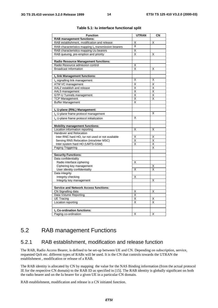| <b>Function</b>                                      | <b>UTRAN</b>            | CΝ |
|------------------------------------------------------|-------------------------|----|
| <b>RAB</b> management functions:                     |                         |    |
| RAB establishment, modification and release          | Χ                       | Χ  |
| RAB characteristics mapping lu transmission bearers  | $\overline{\mathsf{x}}$ |    |
| RAB characteristics mapping Uu bearers               | X                       |    |
| RAB queuing, pre-emption and priority                | X                       | X  |
|                                                      |                         |    |
| <b>Radio Resource Management functions:</b>          |                         |    |
| Radio Resource admission control                     | X                       |    |
| <b>Broadcast Information</b>                         | X                       | X  |
|                                                      |                         |    |
| Iu link Management functions:                        |                         |    |
| $Iu$ signalling link management                      | Χ                       | X  |
| ATM VC management                                    | X                       | Χ  |
| AAL2 establish and release                           | Χ                       | Χ  |
| AAL5 management                                      | X                       | X  |
| <b>GTP-U Tunnels management</b>                      | X                       | Χ  |
| <b>TCP Management</b>                                | X                       | X  |
| <b>Buffer Management</b>                             | Χ                       |    |
|                                                      |                         |    |
| Iu U-plane (RNL) Management:                         |                         |    |
| $Iu$ U-plane frame protocol management               |                         | X  |
| I <sub>u</sub> U-plane frame protocol initialization | X                       |    |
|                                                      |                         |    |
| <b>Mobility management functions:</b>                |                         |    |
| Location information reporting                       | X                       | X  |
| Handover and Relocation                              |                         |    |
| Inter RNC hard HO, lur not used or not available     | Χ                       | Χ  |
| Serving RNS Relocation (intra/inter MSC)             | Χ                       | X  |
| Inter system hard HO (UMTS-GSM)                      | X                       | X  |
| Paging Triggering                                    |                         | X  |
|                                                      |                         |    |
| <b>Security Functions:</b>                           |                         |    |
| Data confidentiality                                 |                         |    |
| Radio interface ciphering                            | Χ                       |    |
| Ciphering key management                             |                         | х  |
| User identity confidentiality                        | X                       | X  |
| Data integrity                                       |                         |    |
| Integrity checking                                   | х                       |    |
| Integrity key management                             |                         | х  |
|                                                      |                         |    |
| <b>Service and Network Access functions:</b>         |                         |    |
| CN Signalling data                                   | X                       | X  |
| Data Volume Reporting                                | X                       |    |
| <b>UE Tracing</b>                                    | X                       | X  |
| Location reporting                                   | X                       | X  |
|                                                      |                         |    |
| $Iu$ Co-ordination functions:                        |                         |    |
| Paging co-ordination                                 | X                       | X  |
|                                                      |                         |    |

#### **Table 5.1: Iu interface functional split**

## 5.2 RAB management Functions

#### 5.2.1 RAB establishment, modification and release function

The RAB, Radio Access Bearer, is defined to be set-up between UE and CN. Depending on subscription, service, requested QoS etc. different types of RABs will be used. It is the CN that controls towards the UTRAN the establishment , modification or release of a RAB.

The RAB identity is allocated by CN by mapping the value for the NAS Binding information (from the actual protocol IE for the respective CN domain) to the RAB ID as specified in [15]. The RAB identity is globally significant on both the radio bearer and on the Iu bearer for a given UE in a particular CN domain.

RAB establishment, modification and release is a CN initiated function.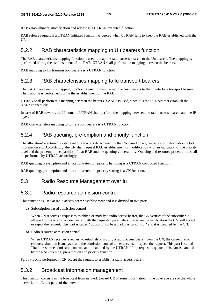RAB establishment, modification and release is a UTRAN executed function.

RAB release request is a UTRAN initiated function, triggered when UTRAN fails to keep the RAB established with the UE.

### 5.2.2 RAB characteristics mapping to Uu bearers function

The RAB characteristics mapping function is used to map the radio access bearers to the Uu bearers. The mapping is performed during the establishment of the RAB. UTRAN shall perform the mapping between the bearers.

RAB mapping to Uu transmission bearers is a UTRAN function.

## 5.2.3 RAB characteristics mapping to Iu transport bearers

The RAB characteristics mapping function is used to map the radio access bearers to the Iu interface transport bearers. The mapping is performed during the establishment of the RAB.

UTRAN shall perform this mapping between the bearers if AAL2 is used, since it is the UTRAN that establish the AAL2 connections.

In case of RAB towards the IP domain, UTRAN shall perform the mapping between the radio access bearers and the IP layer.

RAB characteristics mapping to Iu transport bearers is a UTRAN function.

## 5.2.4 RAB queuing, pre-emption and priority function

The allocation/retention priority level of a RAB is determined by the CN based on e.g. subscription information , QoS information etc. Accordingly, the CN shall request RAB establishment or modification with an indication of the priority level and the pre-emption capability of that RAB and the queuing vulnerability. Queuing and resource pre-emption shall be performed by UTRAN accordingly.

RAB queuing, pre-emption and allocation/retention priority handling is a UTRAN controlled function.

RAB queuing, pre-emption and allocation/retention priority setting is a CN function.

## 5.3 Radio Resource Management over Iu

### 5.3.1 Radio resource admission control

This function is used at radio access bearer establishment and it is divided in two parts:

a) Subscription based admission control

When CN receives a request to establish or modify a radio access bearer, the CN verifies if the subscriber is allowed to use a radio access bearer with the requested parameters. Based on the verification the CN will accept or reject the request. This part is called "Subscription based admission control" and it is handled by the CN.

b) Radio resource admission control

When UTRAN receives a request to establish or modify a radio access bearer from the CN, the current radio resource situation is analysed and the admission control either accepts or rejects the request. This part is called "Radio resource admission control" and it handled by the UTRAN. If the request is queued, this part is handled by the RAB queuing, pre-emption and priority function.

Part b) is only performed if CN accept the request to establish a radio access bearer.

### 5.3.2 Broadcast information management

This function consists in the broadcast from network toward UE of some information in the coverage area of the whole network or different parts of the network.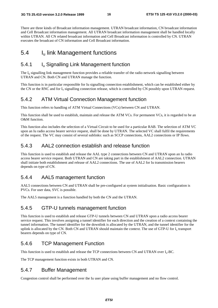There are three kinds of Broadcast information management. UTRAN broadcast information, CN broadcast information and Cell Broadcast information management. All UTRAN broadcast information management shall be handled locally within UTRAN. All CN related broadcast information and Cell Broadcast information is controlled by CN. UTRAN executes the broadcast of CN information and Cell Broadcast information.

## 5.4 Iu link Management functions

#### 5.4.1 Iu Signalling Link Management function

The  $I_{u}$  signalling link management function provides a reliable transfer of the radio network signalling between UTRAN and CN. Both CN and UTRAN manage the function.

This function is in particular responsible for Iu signalling connection establishment, which can be established either by the CN or the RNC and for  $I_u$  signalling connection release, which is controlled by CN possibly upon UTRAN request.

### 5.4.2 ATM Virtual Connection Management function

This function refers to handling of ATM Virtual Connections (VCs) between CN and UTRAN.

This function shall be used to establish, maintain and release the ATM VCs. For permanent VCs, it is regarded to be an O&M function.

This function also includes the selection of a Virtual Circuit to be used for a particular RAB. The selection of ATM VC upon an Iu radio access bearer service request, shall be done by UTRAN. The selected VC shall fulfil the requirements of the request. The VC may consist of several sublinks: such as SCCP connections, AAL2 connections or IP flows.

### 5.4.3 AAL2 connection establish and release function

This function is used to establish and release the AAL type 2 connections between CN and UTRAN upon an Iu radio access bearer service request. Both UTRAN and CN are taking part in the establishment of AAL2 connection. UTRAN shall initiate both establishment and release of AAL2 connections. The use of AAL2 for Iu transmission bearers depends on type of CN.

### 5.4.4 AAL5 management function

AAL5 connections between CN and UTRAN shall be pre-configured at system initialisation. Basic configuration is PVCs. For user data, SVC is possible.

The AAL5 management is a function handled by both the CN and the UTRAN.

#### 5.4.5 GTP-U tunnels management function

This function is used to establish and release GTP-U tunnels between CN and UTRAN upon a radio access bearer service request. This involves assigning a tunnel identifier for each direction and the creation of a context containing the tunnel information. The tunnel identifier for the downlink is allocated by the UTRAN, and the tunnel identifier for the uplink is allocated by the CN. Both CN and UTRAN should maintain the context. The use of GTP-U for I<sub>u</sub> transport bearers depends on type of CN.

### 5.4.6 TCP Management Function

This function is used to establish and release the TCP connections between CN and UTRAN over  $I_{u}$ -BC.

The TCP management function exists in both UTRAN and CN.

#### 5.4.7 Buffer Management

Congestion control shall be performed over the Iu user plane using buffer management and no flow control.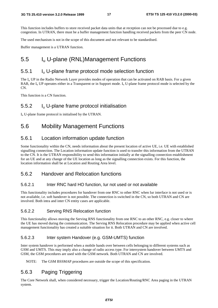This function includes buffers to store received packet data units that at reception can not be processed due to e.g. congestion. In UTRAN, there must be a buffer management function handling received packets from the peer CN node.

The used mechanism is not in the scope of this document and not relevant to be standardised.

Buffer management is a UTRAN function.

## 5.5 Iu U-plane (RNL)Management Functions

#### 5.5.1 Iu U-plane frame protocol mode selection function

The  $I_{\rm u}$  UP in the Radio Network Layer provides modes of operation that can be activated on RAB basis. For a given RAB, the  $I_u$  UP operates either in a Transparent or in Support mode.  $I_u$  U-plane frame protocol mode is selected by the CN.

This function is a CN function.

#### 5.5.2 Iu U-plane frame protocol initialisation

 $I<sub>u</sub>$  U-plane frame protocol is initialised by the UTRAN.

### 5.6 Mobility Management Functions

#### 5.6.1 Location information update function

Some functionality within the CN, needs information about the present location of active UE, i.e. UE with established signalling connection. The Location information update function is used to transfer this information from the UTRAN to the CN. It is the UTRAN responsibility to send this information initially at the signalling connection establishment for an UE and at any change of the UE location as long as the signalling connection exists. For this function, the location information shall be at Location and Routing Area level.

#### 5.6.2 Handover and Relocation functions

#### 5.6.2.1 Inter RNC hard HO function, Iur not used or not available

This functionality includes procedures for handover from one RNC to other RNC when Iur interface is not used or is not available, i.e. soft handover is not possible. The connection is switched in the CN, so both UTRAN and CN are involved. Both intra and inter CN entity cases are applicable.

#### 5.6.2.2 Serving RNS Relocation function

This functionality allows moving the Serving RNS functionality from one RNC to an other RNC, e.g. closer to where the UE has moved during the communication. The Serving RNS Relocation procedure may be applied when active cell management functionality has created a suitable situation for it. Both UTRAN and CN are involved.

#### 5.6.2.3 Inter system Handover (e.g. GSM-UMTS) function

Inter system handover is performed when a mobile hands over between cells belonging to different systems such as GSM and UMTS. This may imply also a change of radio access type. For intersystem handover between UMTS and GSM, the GSM procedures are used with the GSM network. Both UTRAN and CN are involved.

NOTE: The GSM BSSMAP procedures are outside the scope of this specification.

#### 5.6.3 Paging Triggering

The Core Network shall, when considered necessary, trigger the Location/Routing/RNC Area paging in the UTRAN system.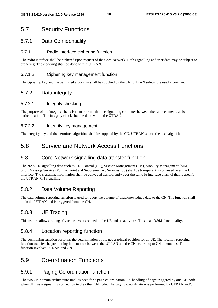## 5.7 Security Functions

#### 5.7.1 Data Confidentiality

#### 5.7.1.1 Radio interface ciphering function

The radio interface shall be ciphered upon request of the Core Network. Both Signalling and user data may be subject to ciphering. The ciphering shall be done within UTRAN.

#### 5.7.1.2 Ciphering key management function

The ciphering key and the permitted algorithm shall be supplied by the CN. UTRAN selects the used algorithm.

#### 5.7.2 Data integrity

#### 5.7.2.1 Integrity checking

The purpose of the integrity check is to make sure that the signalling continues between the same elements as by authentication. The integrity check shall be done within the UTRAN.

#### 5.7.2.2 Integrity key management

The integrity key and the permitted algorithm shall be supplied by the CN. UTRAN selects the used algorithm.

### 5.8 Service and Network Access Functions

#### 5.8.1 Core Network signalling data transfer function

The NAS CN signalling data such as Call Control (CC), Session Management (SM), Mobility Management (MM), Short Message Services Point to Point and Supplementary Services (SS) shall be transparently conveyed over the  $I_{u}$ interface. The signalling information shall be conveyed transparently over the same Iu interface channel that is used for the UTRAN-CN signalling.

#### 5.8.2 Data Volume Reporting

The data volume reporting function is used to report the volume of unacknowledged data to the CN. The function shall be in the UTRAN and is triggered from the CN.

#### 5.8.3 UE Tracing

This feature allows tracing of various events related to the UE and its activities. This is an O&M functionality.

#### 5.8.4 Location reporting function

The positioning function performs the determination of the geographical position for an UE. The location reporting function transfer the positioning information between the UTRAN and the CN according to CN commands. This function involves UTRAN and CN.

### 5.9 Co-ordination Functions

#### 5.9.1 Paging Co-ordination function

The two CN domain architecture implies need for a page co-ordination, i.e. handling of page triggered by one CN node when UE has a signalling connection to the other CN node. The paging co-ordination is performed by UTRAN and/or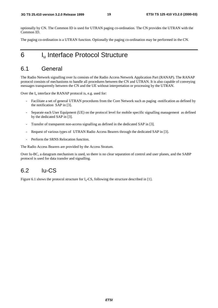optionally by CN. The Common ID is used for UTRAN paging co-ordination. The CN provides the UTRAN with the Common ID.

The paging co-ordination is a UTRAN function. Optionally the paging co-ordination may be performed in the CN.

## 6 I<sub>u</sub> Interface Protocol Structure

### 6.1 General

The Radio Network signalling over Iu consists of the Radio Access Network Application Part (RANAP). The RANAP protocol consists of mechanisms to handle all procedures between the CN and UTRAN. It is also capable of conveying messages transparently between the CN and the UE without interpretation or processing by the UTRAN.

Over the  $I_u$  interface the RANAP protocol is, e.g. used for:

- Facilitate a set of general UTRAN procedures from the Core Network such as paging -notification as defined by the notification SAP in [3].
- Separate each User Equipment (UE) on the protocol level for mobile specific signalling management as defined by the dedicated SAP in [3].
- Transfer of transparent non-access signalling as defined in the dedicated SAP in [3].
- Request of various types of UTRAN Radio Access Bearers through the dedicated SAP in [3].
- Perform the SRNS Relocation function.

The Radio Access Bearers are provided by the Access Stratum.

Over Iu-BC, a datagram mechanism is used, so there is no clear separation of control and user planes, and the SABP protocol is used for data transfer and signalling.

### 6.2 Iu-CS

Figure 6.1 shows the protocol structure for  $I_u$ -CS, following the structure described in [1].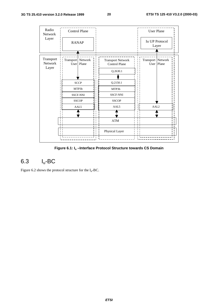

**Figure 6.1: Iu –Interface Protocol Structure towards CS Domain**

## 6.3 Iu-BC

Figure 6.2 shows the protocol structure for the  $I_u$ -BC.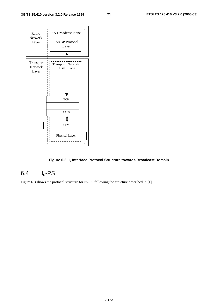

#### Figure 6.2: I<sub>u</sub> Interface Protocol Structure towards Broadcast Domain

## 6.4 Iu-PS

Figure 6.3 shows the protocol structure for Iu-PS, following the structure described in [1].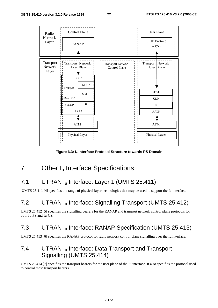

**Figure 6.3: Iu Interface Protocol Structure towards PS Domain**

## 7 Other I<sub>u</sub> Interface Specifications

## 7.1 UTRAN I<sub>u</sub> Interface: Layer 1 (UMTS 25.411)

UMTS 25.411 [4] specifies the range of physical layer technologies that may be used to support the Iu interface.

## 7.2 UTRAN Iu Interface: Signalling Transport (UMTS 25.412)

UMTS 25.412 [5] specifies the signalling bearers for the RANAP and transport network control plane protocols for both Iu-PS and Iu-CS.

## 7.3 UTRAN Iu Interface: RANAP Specification (UMTS 25.413)

UMTS 25.413 [6] specifies the RANAP protocol for radio network control plane signalling over the Iu interface.

## 7.4 UTRAN I<sub>u</sub> Interface: Data Transport and Transport Signalling (UMTS 25.414)

UMTS 25.414 [7] specifies the transport bearers for the user plane of the Iu interface. It also specifies the protocol used to control these transport bearers.

**ETSI**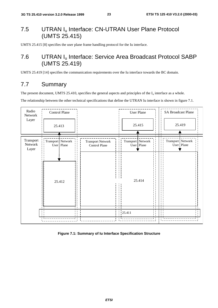## 7.5 UTRAN I<sub>u</sub> Interface: CN-UTRAN User Plane Protocol (UMTS 25.415)

UMTS 25.415 [8] specifies the user plane frame handling protocol for the Iu interface.

## 7.6 UTRAN Iu Interface: Service Area Broadcast Protocol SABP (UMTS 25.419)

UMTS 25.419 [14] specifies the communication requirements over the Iu interface towards the BC domain.

## 7.7 Summary

The present document, UMTS 25.410, specifies the general aspects and principles of the  $I_u$  interface as a whole.

The relationship between the other technical specifications that define the UTRAN Iu interface is shown in figure 7.1.



**Figure 7.1: Summary of Iu Interface Specification Structure**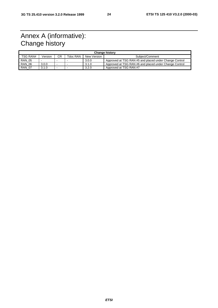## Annex A (informative): Change history

| <b>Change history</b> |         |     |          |             |                                                        |
|-----------------------|---------|-----|----------|-------------|--------------------------------------------------------|
| TSG RAN#              | Version | CR. | Tdoc RAN | New Version | Subject/Comment                                        |
| <b>RAN 05</b>         | -       |     |          | 3.0.0       | Approved at TSG RAN #5 and placed under Change Control |
| <b>RAN 06</b>         | 3.0.0   |     |          | 3.1.0       | Approved at TSG RAN #6 and placed under Change Control |
| <b>RAN 07</b>         | 3.1.0   | . . |          | 3.2.0       | Approved at TSG RAN #7                                 |